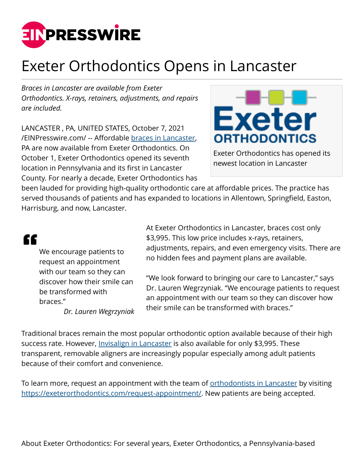

## Exeter Orthodontics Opens in Lancaster

*Braces in Lancaster are available from Exeter Orthodontics. X-rays, retainers, adjustments, and repairs are included.* 

LANCASTER , PA, UNITED STATES, October 7, 2021 [/EINPresswire.com/](http://www.einpresswire.com) -- Affordable [braces in Lancaster](https://exeterorthodontics.com/lancaster-office/), PA are now available from Exeter Orthodontics. On October 1, Exeter Orthodontics opened its seventh location in Pennsylvania and its first in Lancaster County. For nearly a decade, Exeter Orthodontics has



Exeter Orthodontics has opened its newest location in Lancaster

been lauded for providing high-quality orthodontic care at affordable prices. The practice has served thousands of patients and has expanded to locations in Allentown, Springfield, Easton, Harrisburg, and now, Lancaster.

## ££

We encourage patients to request an appointment with our team so they can discover how their smile can be transformed with braces."

*Dr. Lauren Wegrzyniak*

At Exeter Orthodontics in Lancaster, braces cost only \$3,995. This low price includes x-rays, retainers, adjustments, repairs, and even emergency visits. There are no hidden fees and payment plans are available.

"We look forward to bringing our care to Lancaster," says Dr. Lauren Wegrzyniak. "We encourage patients to request an appointment with our team so they can discover how their smile can be transformed with braces."

Traditional braces remain the most popular orthodontic option available because of their high success rate. However, [Invisalign in Lancaster](https://exeterorthodontics.com/lancaster-office/) is also available for only \$3,995. These transparent, removable aligners are increasingly popular especially among adult patients because of their comfort and convenience.

To learn more, request an appointment with the team of [orthodontists in Lancaster](https://exeterorthodontics.com/lancaster-office/) by visiting [https://exeterorthodontics.com/request-appointment/.](https://exeterorthodontics.com/request-appointment/) New patients are being accepted.